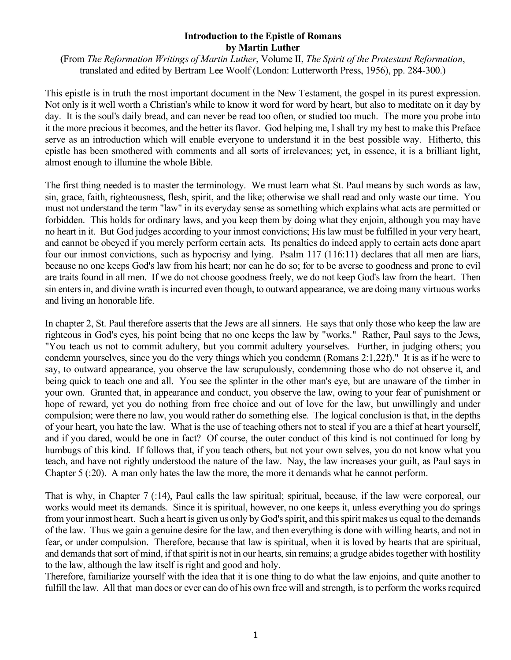## **Introduction to the Epistle of Romans by Martin Luther**

**(**From *The Reformation Writings of Martin Luther*, Volume II, *The Spirit of the Protestant Reformation*, translated and edited by Bertram Lee Woolf (London: Lutterworth Press, 1956), pp. 284-300.)

This epistle is in truth the most important document in the New Testament, the gospel in its purest expression. Not only is it well worth a Christian's while to know it word for word by heart, but also to meditate on it day by day. It is the soul's daily bread, and can never be read too often, or studied too much. The more you probe into it the more precious it becomes, and the better its flavor. God helping me, I shall try my best to make this Preface serve as an introduction which will enable everyone to understand it in the best possible way. Hitherto, this epistle has been smothered with comments and all sorts of irrelevances; yet, in essence, it is a brilliant light, almost enough to illumine the whole Bible.

The first thing needed is to master the terminology. We must learn what St. Paul means by such words as law, sin, grace, faith, righteousness, flesh, spirit, and the like; otherwise we shall read and only waste our time. You must not understand the term "law" in its everyday sense as something which explains what acts are permitted or forbidden. This holds for ordinary laws, and you keep them by doing what they enjoin, although you may have no heart in it. But God judges according to your inmost convictions; His law must be fulfilled in your very heart, and cannot be obeyed if you merely perform certain acts. Its penalties do indeed apply to certain acts done apart four our inmost convictions, such as hypocrisy and lying. Psalm 117 (116:11) declares that all men are liars, because no one keeps God's law from his heart; nor can he do so; for to be averse to goodness and prone to evil are traits found in all men. If we do not choose goodness freely, we do not keep God's law from the heart. Then sin enters in, and divine wrath is incurred even though, to outward appearance, we are doing many virtuous works and living an honorable life.

In chapter 2, St. Paul therefore asserts that the Jews are all sinners. He says that only those who keep the law are righteous in God's eyes, his point being that no one keeps the law by "works." Rather, Paul says to the Jews, "You teach us not to commit adultery, but you commit adultery yourselves. Further, in judging others; you condemn yourselves, since you do the very things which you condemn (Romans 2:1,22f)." It is as if he were to say, to outward appearance, you observe the law scrupulously, condemning those who do not observe it, and being quick to teach one and all. You see the splinter in the other man's eye, but are unaware of the timber in your own. Granted that, in appearance and conduct, you observe the law, owing to your fear of punishment or hope of reward, yet you do nothing from free choice and out of love for the law, but unwillingly and under compulsion; were there no law, you would rather do something else. The logical conclusion is that, in the depths of your heart, you hate the law. What is the use of teaching others not to steal if you are a thief at heart yourself, and if you dared, would be one in fact? Of course, the outer conduct of this kind is not continued for long by humbugs of this kind. If follows that, if you teach others, but not your own selves, you do not know what you teach, and have not rightly understood the nature of the law. Nay, the law increases your guilt, as Paul says in Chapter 5 (:20). A man only hates the law the more, the more it demands what he cannot perform.

That is why, in Chapter 7 (:14), Paul calls the law spiritual; spiritual, because, if the law were corporeal, our works would meet its demands. Since it is spiritual, however, no one keeps it, unless everything you do springs from your inmost heart. Such a heart is given us only by God's spirit, and this spirit makes us equal to the demands of the law. Thus we gain a genuine desire for the law, and then everything is done with willing hearts, and not in fear, or under compulsion. Therefore, because that law is spiritual, when it is loved by hearts that are spiritual, and demands that sort of mind, if that spirit is not in our hearts, sin remains; a grudge abides together with hostility to the law, although the law itself is right and good and holy.

Therefore, familiarize yourself with the idea that it is one thing to do what the law enjoins, and quite another to fulfill the law. All that man does or ever can do of his own free will and strength, is to perform the works required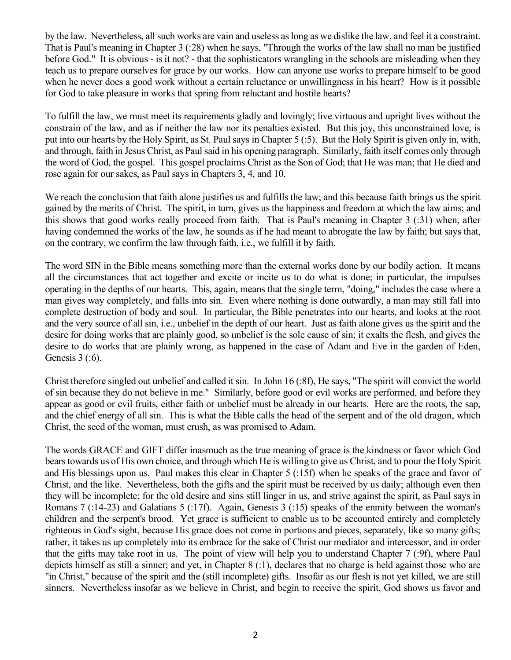by the law. Nevertheless, all such works are vain and useless as long as we dislike the law, and feel it a constraint. That is Paul's meaning in Chapter 3 (:28) when he says, "Through the works of the law shall no man be justified before God." It is obvious - is it not? - that the sophisticators wrangling in the schools are misleading when they teach us to prepare ourselves for grace by our works. How can anyone use works to prepare himself to be good when he never does a good work without a certain reluctance or unwillingness in his heart? How is it possible for God to take pleasure in works that spring from reluctant and hostile hearts?

To fulfill the law, we must meet its requirements gladly and lovingly; live virtuous and upright lives without the constrain of the law, and as if neither the law nor its penalties existed. But this joy, this unconstrained love, is put into our hearts by the Holy Spirit, as St. Paul says in Chapter 5 (:5). But the Holy Spirit is given only in, with, and through, faith in Jesus Christ, as Paul said in his opening paragraph. Similarly, faith itself comes only through the word of God, the gospel. This gospel proclaims Christ as the Son of God; that He was man; that He died and rose again for our sakes, as Paul says in Chapters 3, 4, and 10.

We reach the conclusion that faith alone justifies us and fulfills the law; and this because faith brings us the spirit gained by the merits of Christ. The spirit, in turn, gives us the happiness and freedom at which the law aims; and this shows that good works really proceed from faith. That is Paul's meaning in Chapter 3 (:31) when, after having condemned the works of the law, he sounds as if he had meant to abrogate the law by faith; but says that, on the contrary, we confirm the law through faith, i.e., we fulfill it by faith.

The word SIN in the Bible means something more than the external works done by our bodily action. It means all the circumstances that act together and excite or incite us to do what is done; in particular, the impulses operating in the depths of our hearts. This, again, means that the single term, "doing," includes the case where a man gives way completely, and falls into sin. Even where nothing is done outwardly, a man may still fall into complete destruction of body and soul. In particular, the Bible penetrates into our hearts, and looks at the root and the very source of all sin, i.e., unbelief in the depth of our heart. Just as faith alone gives us the spirit and the desire for doing works that are plainly good, so unbelief is the sole cause of sin; it exalts the flesh, and gives the desire to do works that are plainly wrong, as happened in the case of Adam and Eve in the garden of Eden, Genesis 3 (:6).

Christ therefore singled out unbelief and called it sin. In John 16 (:8f), He says, "The spirit will convict the world of sin because they do not believe in me." Similarly, before good or evil works are performed, and before they appear as good or evil fruits, either faith or unbelief must be already in our hearts. Here are the roots, the sap, and the chief energy of all sin. This is what the Bible calls the head of the serpent and of the old dragon, which Christ, the seed of the woman, must crush, as was promised to Adam.

The words GRACE and GIFT differ inasmuch as the true meaning of grace is the kindness or favor which God bears towards us of His own choice, and through which He is willing to give us Christ, and to pour the Holy Spirit and His blessings upon us. Paul makes this clear in Chapter 5 (:15f) when he speaks of the grace and favor of Christ, and the like. Nevertheless, both the gifts and the spirit must be received by us daily; although even then they will be incomplete; for the old desire and sins still linger in us, and strive against the spirit, as Paul says in Romans 7 (:14-23) and Galatians 5 (:17f). Again, Genesis 3 (:15) speaks of the enmity between the woman's children and the serpent's brood. Yet grace is sufficient to enable us to be accounted entirely and completely righteous in God's sight, because His grace does not come in portions and pieces, separately, like so many gifts; rather, it takes us up completely into its embrace for the sake of Christ our mediator and intercessor, and in order that the gifts may take root in us. The point of view will help you to understand Chapter 7 (:9f), where Paul depicts himself as still a sinner; and yet, in Chapter 8 (:1), declares that no charge is held against those who are "in Christ," because of the spirit and the (still incomplete) gifts. Insofar as our flesh is not yet killed, we are still sinners. Nevertheless insofar as we believe in Christ, and begin to receive the spirit, God shows us favor and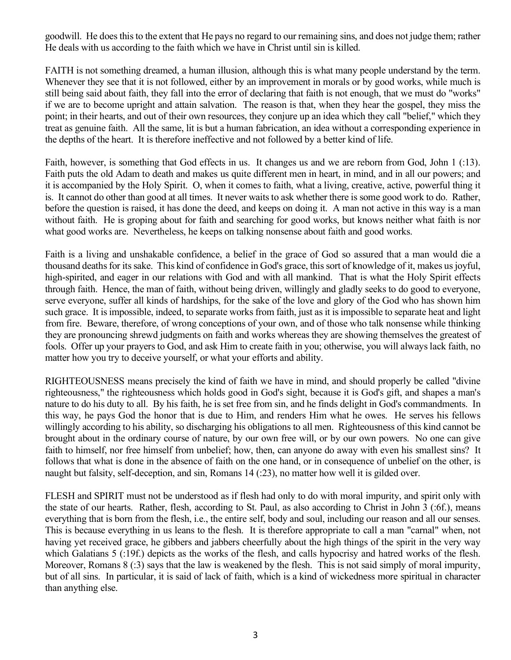goodwill. He does this to the extent that He pays no regard to our remaining sins, and does not judge them; rather He deals with us according to the faith which we have in Christ until sin is killed.

FAITH is not something dreamed, a human illusion, although this is what many people understand by the term. Whenever they see that it is not followed, either by an improvement in morals or by good works, while much is still being said about faith, they fall into the error of declaring that faith is not enough, that we must do "works" if we are to become upright and attain salvation. The reason is that, when they hear the gospel, they miss the point; in their hearts, and out of their own resources, they conjure up an idea which they call "belief," which they treat as genuine faith. All the same, lit is but a human fabrication, an idea without a corresponding experience in the depths of the heart. It is therefore ineffective and not followed by a better kind of life.

Faith, however, is something that God effects in us. It changes us and we are reborn from God, John 1 (:13). Faith puts the old Adam to death and makes us quite different men in heart, in mind, and in all our powers; and it is accompanied by the Holy Spirit. O, when it comes to faith, what a living, creative, active, powerful thing it is. It cannot do other than good at all times. It never waits to ask whether there is some good work to do. Rather, before the question is raised, it has done the deed, and keeps on doing it. A man not active in this way is a man without faith. He is groping about for faith and searching for good works, but knows neither what faith is nor what good works are. Nevertheless, he keeps on talking nonsense about faith and good works.

Faith is a living and unshakable confidence, a belief in the grace of God so assured that a man would die a thousand deaths for its sake. This kind of confidence in God's grace, this sort of knowledge of it, makes us joyful, high-spirited, and eager in our relations with God and with all mankind. That is what the Holy Spirit effects through faith. Hence, the man of faith, without being driven, willingly and gladly seeks to do good to everyone, serve everyone, suffer all kinds of hardships, for the sake of the love and glory of the God who has shown him such grace. It is impossible, indeed, to separate works from faith, just as it is impossible to separate heat and light from fire. Beware, therefore, of wrong conceptions of your own, and of those who talk nonsense while thinking they are pronouncing shrewd judgments on faith and works whereas they are showing themselves the greatest of fools. Offer up your prayers to God, and ask Him to create faith in you; otherwise, you will always lack faith, no matter how you try to deceive yourself, or what your efforts and ability.

RIGHTEOUSNESS means precisely the kind of faith we have in mind, and should properly be called "divine righteousness," the righteousness which holds good in God's sight, because it is God's gift, and shapes a man's nature to do his duty to all. By his faith, he is set free from sin, and he finds delight in God's commandments. In this way, he pays God the honor that is due to Him, and renders Him what he owes. He serves his fellows willingly according to his ability, so discharging his obligations to all men. Righteousness of this kind cannot be brought about in the ordinary course of nature, by our own free will, or by our own powers. No one can give faith to himself, nor free himself from unbelief; how, then, can anyone do away with even his smallest sins? It follows that what is done in the absence of faith on the one hand, or in consequence of unbelief on the other, is naught but falsity, self-deception, and sin, Romans 14 (:23), no matter how well it is gilded over.

FLESH and SPIRIT must not be understood as if flesh had only to do with moral impurity, and spirit only with the state of our hearts. Rather, flesh, according to St. Paul, as also according to Christ in John 3 (:6f.), means everything that is born from the flesh, i.e., the entire self, body and soul, including our reason and all our senses. This is because everything in us leans to the flesh. It is therefore appropriate to call a man "carnal" when, not having yet received grace, he gibbers and jabbers cheerfully about the high things of the spirit in the very way which Galatians 5 (:19f.) depicts as the works of the flesh, and calls hypocrisy and hatred works of the flesh. Moreover, Romans 8 (:3) says that the law is weakened by the flesh. This is not said simply of moral impurity, but of all sins. In particular, it is said of lack of faith, which is a kind of wickedness more spiritual in character than anything else.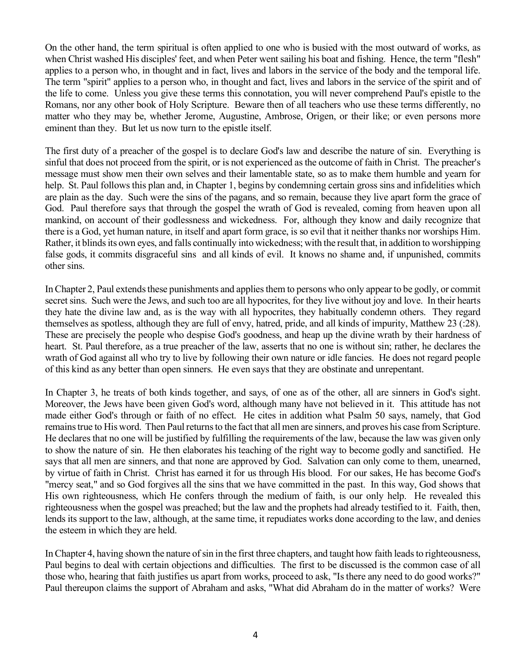On the other hand, the term spiritual is often applied to one who is busied with the most outward of works, as when Christ washed His disciples' feet, and when Peter went sailing his boat and fishing. Hence, the term "flesh" applies to a person who, in thought and in fact, lives and labors in the service of the body and the temporal life. The term "spirit" applies to a person who, in thought and fact, lives and labors in the service of the spirit and of the life to come. Unless you give these terms this connotation, you will never comprehend Paul's epistle to the Romans, nor any other book of Holy Scripture. Beware then of all teachers who use these terms differently, no matter who they may be, whether Jerome, Augustine, Ambrose, Origen, or their like; or even persons more eminent than they. But let us now turn to the epistle itself.

The first duty of a preacher of the gospel is to declare God's law and describe the nature of sin. Everything is sinful that does not proceed from the spirit, or is not experienced as the outcome of faith in Christ. The preacher's message must show men their own selves and their lamentable state, so as to make them humble and yearn for help. St. Paul follows this plan and, in Chapter 1, begins by condemning certain gross sins and infidelities which are plain as the day. Such were the sins of the pagans, and so remain, because they live apart form the grace of God. Paul therefore says that through the gospel the wrath of God is revealed, coming from heaven upon all mankind, on account of their godlessness and wickedness. For, although they know and daily recognize that there is a God, yet human nature, in itself and apart form grace, is so evil that it neither thanks nor worships Him. Rather, it blinds its own eyes, and falls continually into wickedness; with the result that, in addition to worshipping false gods, it commits disgraceful sins and all kinds of evil. It knows no shame and, if unpunished, commits other sins.

In Chapter 2, Paul extends these punishments and applies them to persons who only appear to be godly, or commit secret sins. Such were the Jews, and such too are all hypocrites, for they live without joy and love. In their hearts they hate the divine law and, as is the way with all hypocrites, they habitually condemn others. They regard themselves as spotless, although they are full of envy, hatred, pride, and all kinds of impurity, Matthew 23 (:28). These are precisely the people who despise God's goodness, and heap up the divine wrath by their hardness of heart. St. Paul therefore, as a true preacher of the law, asserts that no one is without sin; rather, he declares the wrath of God against all who try to live by following their own nature or idle fancies. He does not regard people of this kind as any better than open sinners. He even says that they are obstinate and unrepentant.

In Chapter 3, he treats of both kinds together, and says, of one as of the other, all are sinners in God's sight. Moreover, the Jews have been given God's word, although many have not believed in it. This attitude has not made either God's through or faith of no effect. He cites in addition what Psalm 50 says, namely, that God remains true to His word. Then Paul returns to the fact that all men are sinners, and proves his case from Scripture. He declares that no one will be justified by fulfilling the requirements of the law, because the law was given only to show the nature of sin. He then elaborates his teaching of the right way to become godly and sanctified. He says that all men are sinners, and that none are approved by God. Salvation can only come to them, unearned, by virtue of faith in Christ. Christ has earned it for us through His blood. For our sakes, He has become God's "mercy seat," and so God forgives all the sins that we have committed in the past. In this way, God shows that His own righteousness, which He confers through the medium of faith, is our only help. He revealed this righteousness when the gospel was preached; but the law and the prophets had already testified to it. Faith, then, lends its support to the law, although, at the same time, it repudiates works done according to the law, and denies the esteem in which they are held.

In Chapter 4, having shown the nature of sin in the first three chapters, and taught how faith leads to righteousness, Paul begins to deal with certain objections and difficulties. The first to be discussed is the common case of all those who, hearing that faith justifies us apart from works, proceed to ask, "Is there any need to do good works?" Paul thereupon claims the support of Abraham and asks, "What did Abraham do in the matter of works? Were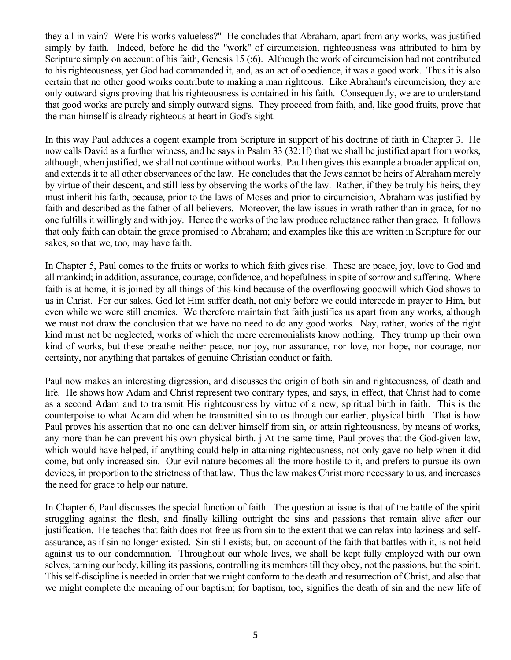they all in vain? Were his works valueless?" He concludes that Abraham, apart from any works, was justified simply by faith. Indeed, before he did the "work" of circumcision, righteousness was attributed to him by Scripture simply on account of his faith, Genesis 15 (:6). Although the work of circumcision had not contributed to his righteousness, yet God had commanded it, and, as an act of obedience, it was a good work. Thus it is also certain that no other good works contribute to making a man righteous. Like Abraham's circumcision, they are only outward signs proving that his righteousness is contained in his faith. Consequently, we are to understand that good works are purely and simply outward signs. They proceed from faith, and, like good fruits, prove that the man himself is already righteous at heart in God's sight.

In this way Paul adduces a cogent example from Scripture in support of his doctrine of faith in Chapter 3. He now calls David as a further witness, and he says in Psalm 33 (32:1f) that we shall be justified apart from works, although, when justified, we shall not continue without works. Paul then gives this example a broader application, and extends it to all other observances of the law. He concludes that the Jews cannot be heirs of Abraham merely by virtue of their descent, and still less by observing the works of the law. Rather, if they be truly his heirs, they must inherit his faith, because, prior to the laws of Moses and prior to circumcision, Abraham was justified by faith and described as the father of all believers. Moreover, the law issues in wrath rather than in grace, for no one fulfills it willingly and with joy. Hence the works of the law produce reluctance rather than grace. It follows that only faith can obtain the grace promised to Abraham; and examples like this are written in Scripture for our sakes, so that we, too, may have faith.

In Chapter 5, Paul comes to the fruits or works to which faith gives rise. These are peace, joy, love to God and all mankind; in addition, assurance, courage, confidence, and hopefulness in spite of sorrow and suffering. Where faith is at home, it is joined by all things of this kind because of the overflowing goodwill which God shows to us in Christ. For our sakes, God let Him suffer death, not only before we could intercede in prayer to Him, but even while we were still enemies. We therefore maintain that faith justifies us apart from any works, although we must not draw the conclusion that we have no need to do any good works. Nay, rather, works of the right kind must not be neglected, works of which the mere ceremonialists know nothing. They trump up their own kind of works, but these breathe neither peace, nor joy, nor assurance, nor love, nor hope, nor courage, nor certainty, nor anything that partakes of genuine Christian conduct or faith.

Paul now makes an interesting digression, and discusses the origin of both sin and righteousness, of death and life. He shows how Adam and Christ represent two contrary types, and says, in effect, that Christ had to come as a second Adam and to transmit His righteousness by virtue of a new, spiritual birth in faith. This is the counterpoise to what Adam did when he transmitted sin to us through our earlier, physical birth. That is how Paul proves his assertion that no one can deliver himself from sin, or attain righteousness, by means of works, any more than he can prevent his own physical birth. j At the same time, Paul proves that the God-given law, which would have helped, if anything could help in attaining righteousness, not only gave no help when it did come, but only increased sin. Our evil nature becomes all the more hostile to it, and prefers to pursue its own devices, in proportion to the strictness of that law. Thus the law makes Christ more necessary to us, and increases the need for grace to help our nature.

In Chapter 6, Paul discusses the special function of faith. The question at issue is that of the battle of the spirit struggling against the flesh, and finally killing outright the sins and passions that remain alive after our justification. He teaches that faith does not free us from sin to the extent that we can relax into laziness and selfassurance, as if sin no longer existed. Sin still exists; but, on account of the faith that battles with it, is not held against us to our condemnation. Throughout our whole lives, we shall be kept fully employed with our own selves, taming our body, killing its passions, controlling its members till they obey, not the passions, but the spirit. This self-discipline is needed in order that we might conform to the death and resurrection of Christ, and also that we might complete the meaning of our baptism; for baptism, too, signifies the death of sin and the new life of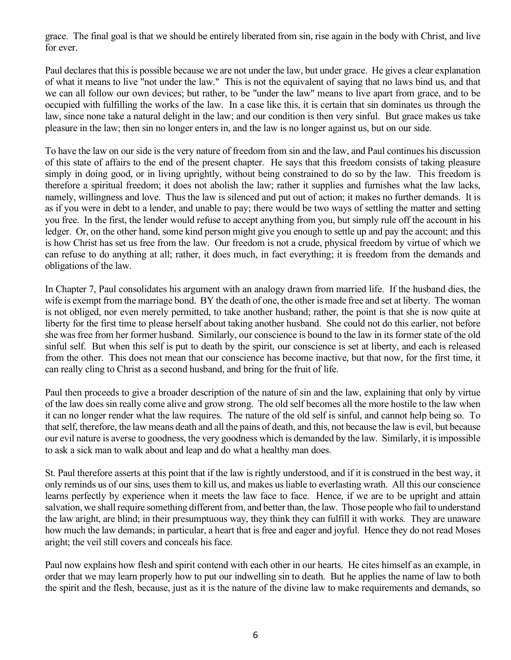grace. The final goal is that we should be entirely liberated from sin, rise again in the body with Christ, and live for ever.

Paul declares that this is possible because we are not under the law, but under grace. He gives a clear explanation of what it means to live "not under the law." This is not the equivalent of saying that no laws bind us, and that we can all follow our own devices; but rather, to be "under the law" means to live apart from grace, and to be occupied with fulfilling the works of the law. In a case like this, it is certain that sin dominates us through the law, since none take a natural delight in the law; and our condition is then very sinful. But grace makes us take pleasure in the law; then sin no longer enters in, and the law is no longer against us, but on our side.

To have the law on our side is the very nature of freedom from sin and the law, and Paul continues his discussion of this state of affairs to the end of the present chapter. He says that this freedom consists of taking pleasure simply in doing good, or in living uprightly, without being constrained to do so by the law. This freedom is therefore a spiritual freedom; it does not abolish the law; rather it supplies and furnishes what the law lacks, namely, willingness and love. Thus the law is silenced and put out of action; it makes no further demands. It is as if you were in debt to a lender, and unable to pay; there would be two ways of settling the matter and setting you free. In the first, the lender would refuse to accept anything from you, but simply rule off the account in his ledger. Or, on the other hand, some kind person might give you enough to settle up and pay the account; and this is how Christ has set us free from the law. Our freedom is not a crude, physical freedom by virtue of which we can refuse to do anything at all; rather, it does much, in fact everything; it is freedom from the demands and obligations of the law.

In Chapter 7, Paul consolidates his argument with an analogy drawn from married life. If the husband dies, the wife is exempt from the marriage bond. BY the death of one, the other is made free and set at liberty. The woman is not obliged, nor even merely permitted, to take another husband; rather, the point is that she is now quite at liberty for the first time to please herself about taking another husband. She could not do this earlier, not before she was free from her former husband. Similarly, our conscience is bound to the law in its former state of the old sinful self. But when this self is put to death by the spirit, our conscience is set at liberty, and each is released from the other. This does not mean that our conscience has become inactive, but that now, for the first time, it can really cling to Christ as a second husband, and bring for the fruit of life.

Paul then proceeds to give a broader description of the nature of sin and the law, explaining that only by virtue of the law does sin really come alive and grow strong. The old self becomes all the more hostile to the law when it can no longer render what the law requires. The nature of the old self is sinful, and cannot help being so. To that self, therefore, the law means death and all the pains of death, and this, not because the law is evil, but because our evil nature is averse to goodness, the very goodness which is demanded by the law. Similarly, it is impossible to ask a sick man to walk about and leap and do what a healthy man does.

St. Paul therefore asserts at this point that if the law is rightly understood, and if it is construed in the best way, it only reminds us of our sins, uses them to kill us, and makes us liable to everlasting wrath. All this our conscience learns perfectly by experience when it meets the law face to face. Hence, if we are to be upright and attain salvation, we shall require something different from, and better than, the law. Those people who fail to understand the law aright, are blind; in their presumptuous way, they think they can fulfill it with works. They are unaware how much the law demands; in particular, a heart that is free and eager and joyful. Hence they do not read Moses aright; the veil still covers and conceals his face.

Paul now explains how flesh and spirit contend with each other in our hearts. He cites himself as an example, in order that we may learn properly how to put our indwelling sin to death. But he applies the name of law to both the spirit and the flesh, because, just as it is the nature of the divine law to make requirements and demands, so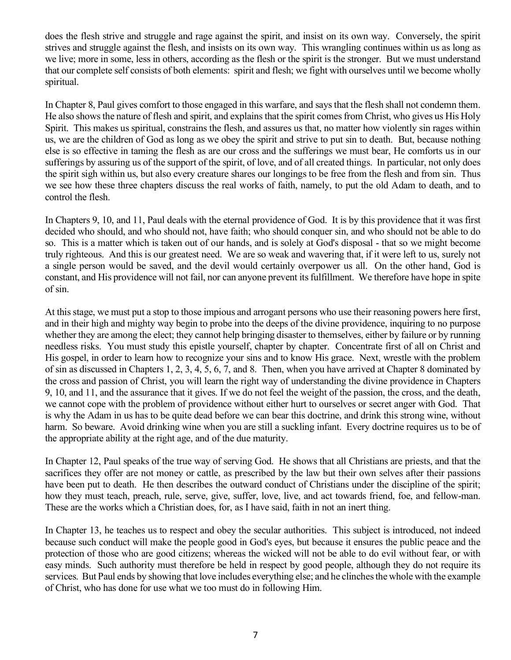does the flesh strive and struggle and rage against the spirit, and insist on its own way. Conversely, the spirit strives and struggle against the flesh, and insists on its own way. This wrangling continues within us as long as we live; more in some, less in others, according as the flesh or the spirit is the stronger. But we must understand that our complete self consists of both elements: spirit and flesh; we fight with ourselves until we become wholly spiritual.

In Chapter 8, Paul gives comfort to those engaged in this warfare, and says that the flesh shall not condemn them. He also shows the nature of flesh and spirit, and explains that the spirit comes from Christ, who gives us His Holy Spirit. This makes us spiritual, constrains the flesh, and assures us that, no matter how violently sin rages within us, we are the children of God as long as we obey the spirit and strive to put sin to death. But, because nothing else is so effective in taming the flesh as are our cross and the sufferings we must bear, He comforts us in our sufferings by assuring us of the support of the spirit, of love, and of all created things. In particular, not only does the spirit sigh within us, but also every creature shares our longings to be free from the flesh and from sin. Thus we see how these three chapters discuss the real works of faith, namely, to put the old Adam to death, and to control the flesh.

In Chapters 9, 10, and 11, Paul deals with the eternal providence of God. It is by this providence that it was first decided who should, and who should not, have faith; who should conquer sin, and who should not be able to do so. This is a matter which is taken out of our hands, and is solely at God's disposal - that so we might become truly righteous. And this is our greatest need. We are so weak and wavering that, if it were left to us, surely not a single person would be saved, and the devil would certainly overpower us all. On the other hand, God is constant, and His providence will not fail, nor can anyone prevent its fulfillment. We therefore have hope in spite of sin.

At this stage, we must put a stop to those impious and arrogant persons who use their reasoning powers here first, and in their high and mighty way begin to probe into the deeps of the divine providence, inquiring to no purpose whether they are among the elect; they cannot help bringing disaster to themselves, either by failure or by running needless risks. You must study this epistle yourself, chapter by chapter. Concentrate first of all on Christ and His gospel, in order to learn how to recognize your sins and to know His grace. Next, wrestle with the problem of sin as discussed in Chapters 1, 2, 3, 4, 5, 6, 7, and 8. Then, when you have arrived at Chapter 8 dominated by the cross and passion of Christ, you will learn the right way of understanding the divine providence in Chapters 9, 10, and 11, and the assurance that it gives. If we do not feel the weight of the passion, the cross, and the death, we cannot cope with the problem of providence without either hurt to ourselves or secret anger with God. That is why the Adam in us has to be quite dead before we can bear this doctrine, and drink this strong wine, without harm. So beware. Avoid drinking wine when you are still a suckling infant. Every doctrine requires us to be of the appropriate ability at the right age, and of the due maturity.

In Chapter 12, Paul speaks of the true way of serving God. He shows that all Christians are priests, and that the sacrifices they offer are not money or cattle, as prescribed by the law but their own selves after their passions have been put to death. He then describes the outward conduct of Christians under the discipline of the spirit; how they must teach, preach, rule, serve, give, suffer, love, live, and act towards friend, foe, and fellow-man. These are the works which a Christian does, for, as I have said, faith in not an inert thing.

In Chapter 13, he teaches us to respect and obey the secular authorities. This subject is introduced, not indeed because such conduct will make the people good in God's eyes, but because it ensures the public peace and the protection of those who are good citizens; whereas the wicked will not be able to do evil without fear, or with easy minds. Such authority must therefore be held in respect by good people, although they do not require its services. But Paul ends by showing that love includes everything else; and he clinches the whole with the example of Christ, who has done for use what we too must do in following Him.